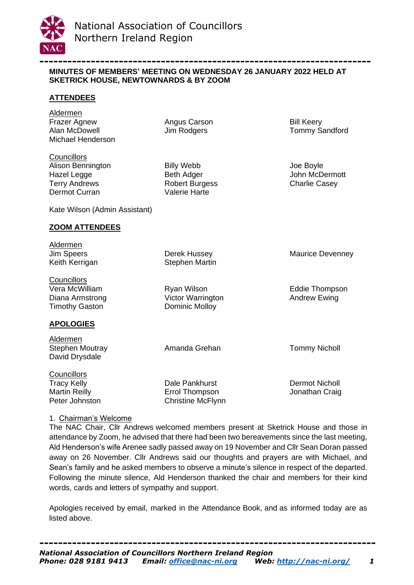

## **----------------------------------------------------------------------- MINUTES OF MEMBERS' MEETING ON WEDNESDAY 26 JANUARY 2022 HELD AT SKETRICK HOUSE, NEWTOWNARDS & BY ZOOM**

# **ATTENDEES**

Aldermen Frazer Agnew **Angus Carson** Bill Keery Alan McDowell **Im Rodgers** Tommy Sandford Michael Henderson

**Councillors** Alison Bennington Billy Webb Joe Boyle Hazel Legge **Beth Adger** Beth Adder **John McDermott** Terry Andrews **Robert Burgess** Charlie Casey Dermot Curran Valerie Harte

Kate Wilson (Admin Assistant)

## **ZOOM ATTENDEES**

Aldermen Jim Speers Derek Hussey Maurice Devenney Keith Kerrigan Stephen Martin **Councillors** Vera McWilliam Ryan Wilson Eddie Thompson Diana Armstrong **Victor Warrington Andrew Ewing** Timothy Gaston **Dominic Molloy APOLOGIES** Aldermen

Stephen Moutray **Amanda Grehan** Tommy Nicholl David Drysdale

**Councillors** Tracy Kelly **Dale Pankhurst** Dermot Nicholl Martin Reilly **Errol Thompson** Graig Martin Reilly **Martin Reilly** Peter Johnston Christine McFlynn

# 1. Chairman's Welcome

The NAC Chair, Cllr Andrews welcomed members present at Sketrick House and those in attendance by Zoom, he advised that there had been two bereavements since the last meeting, Ald Henderson's wife Arenee sadly passed away on 19 November and Cllr Sean Doran passed away on 26 November. Cllr Andrews said our thoughts and prayers are with Michael, and Sean's family and he asked members to observe a minute's silence in respect of the departed. Following the minute silence, Ald Henderson thanked the chair and members for their kind words, cards and letters of sympathy and support.

Apologies received by email, marked in the Attendance Book, and as informed today are as listed above.

**------------------------------------------------------------------------** *National Association of Councillors Northern Ireland Region Phone: 028 9181 9413 Email: [office@nac-ni.org](https://nacnorthernireland-my.sharepoint.com/personal/office_nac-ni_org/Documents/Documents/Meetings/Members%20Meetings/MM%20Minutes/office@nac-ni.org) Web:<http://nac-ni.org/>1*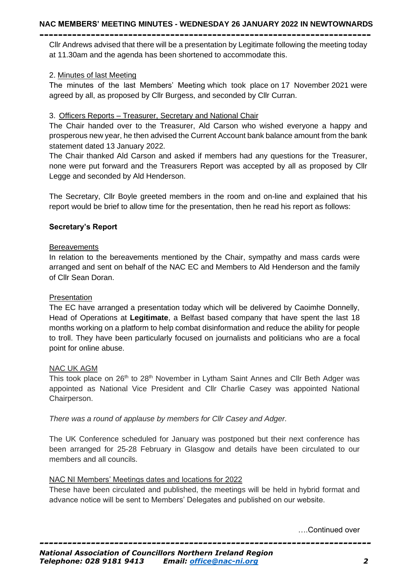#### **NAC MEMBERS' MEETING MINUTES - WEDNESDAY 26 JANUARY 2022 IN NEWTOWNARDS -----------------------------------------------------------------------**

Cllr Andrews advised that there will be a presentation by Legitimate following the meeting today at 11.30am and the agenda has been shortened to accommodate this.

## 2. Minutes of last Meeting

The minutes of the last Members' Meeting which took place on 17 November 2021 were agreed by all, as proposed by Cllr Burgess, and seconded by Cllr Curran.

### 3. Officers Reports – Treasurer, Secretary and National Chair

The Chair handed over to the Treasurer, Ald Carson who wished everyone a happy and prosperous new year, he then advised the Current Account bank balance amount from the bank statement dated 13 January 2022.

The Chair thanked Ald Carson and asked if members had any questions for the Treasurer, none were put forward and the Treasurers Report was accepted by all as proposed by Cllr Legge and seconded by Ald Henderson.

The Secretary, Cllr Boyle greeted members in the room and on-line and explained that his report would be brief to allow time for the presentation, then he read his report as follows:

## **Secretary's Report**

### **Bereavements**

In relation to the bereavements mentioned by the Chair, sympathy and mass cards were arranged and sent on behalf of the NAC EC and Members to Ald Henderson and the family of Cllr Sean Doran.

## **Presentation**

The EC have arranged a presentation today which will be delivered by Caoimhe Donnelly, Head of Operations at **Legitimate**, a Belfast based company that have spent the last 18 months working on a platform to help combat disinformation and reduce the ability for people to troll. They have been particularly focused on journalists and politicians who are a focal point for online abuse.

## NAC UK AGM

This took place on 26<sup>th</sup> to 28<sup>th</sup> November in Lytham Saint Annes and Cllr Beth Adger was appointed as National Vice President and Cllr Charlie Casey was appointed National Chairperson.

*There was a round of applause by members for Cllr Casey and Adger.*

The UK Conference scheduled for January was postponed but their next conference has been arranged for 25-28 February in Glasgow and details have been circulated to our members and all councils.

#### NAC NI Members' Meetings dates and locations for 2022

These have been circulated and published, the meetings will be held in hybrid format and advance notice will be sent to Members' Delegates and published on our website.

….Continued over

*-----------------------------------------------------------------------*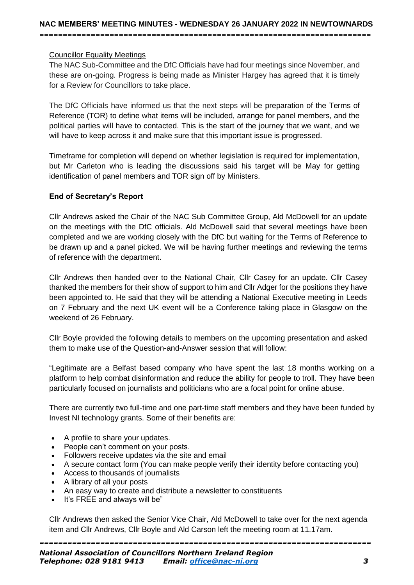## Councillor Equality Meetings

The NAC Sub-Committee and the DfC Officials have had four meetings since November, and these are on-going. Progress is being made as Minister Hargey has agreed that it is timely for a Review for Councillors to take place.

The DfC Officials have informed us that the next steps will be preparation of the Terms of Reference (TOR) to define what items will be included, arrange for panel members, and the political parties will have to contacted. This is the start of the journey that we want, and we will have to keep across it and make sure that this important issue is progressed.

Timeframe for completion will depend on whether legislation is required for implementation, but Mr Carleton who is leading the discussions said his target will be May for getting identification of panel members and TOR sign off by Ministers.

## **End of Secretary's Report**

Cllr Andrews asked the Chair of the NAC Sub Committee Group, Ald McDowell for an update on the meetings with the DfC officials. Ald McDowell said that several meetings have been completed and we are working closely with the DfC but waiting for the Terms of Reference to be drawn up and a panel picked. We will be having further meetings and reviewing the terms of reference with the department.

Cllr Andrews then handed over to the National Chair, Cllr Casey for an update. Cllr Casey thanked the members for their show of support to him and Cllr Adger for the positions they have been appointed to. He said that they will be attending a National Executive meeting in Leeds on 7 February and the next UK event will be a Conference taking place in Glasgow on the weekend of 26 February.

Cllr Boyle provided the following details to members on the upcoming presentation and asked them to make use of the Question-and-Answer session that will follow:

"Legitimate are a Belfast based company who have spent the last 18 months working on a platform to help combat disinformation and reduce the ability for people to troll. They have been particularly focused on journalists and politicians who are a focal point for online abuse.

There are currently two full-time and one part-time staff members and they have been funded by Invest NI technology grants. Some of their benefits are:

- A profile to share your updates.
- People can't comment on your posts.
- Followers receive updates via the site and email
- A secure contact form (You can make people verify their identity before contacting you)
- Access to thousands of journalists
- A library of all your posts
- An easy way to create and distribute a newsletter to constituents
- It's FREE and always will be"

Cllr Andrews then asked the Senior Vice Chair, Ald McDowell to take over for the next agenda item and Cllr Andrews, Cllr Boyle and Ald Carson left the meeting room at 11.17am.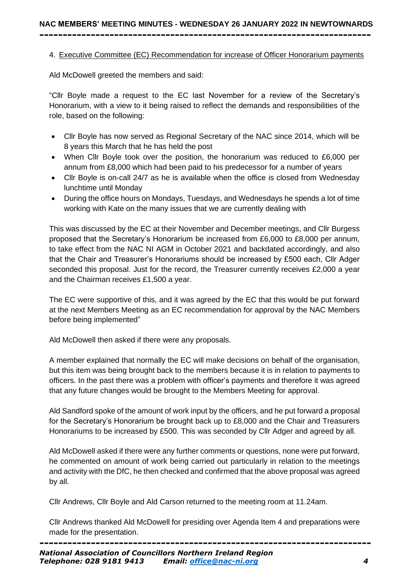# 4. Executive Committee (EC) Recommendation for increase of Officer Honorarium payments

Ald McDowell greeted the members and said:

"Cllr Boyle made a request to the EC last November for a review of the Secretary's Honorarium, with a view to it being raised to reflect the demands and responsibilities of the role, based on the following:

- Cllr Boyle has now served as Regional Secretary of the NAC since 2014, which will be 8 years this March that he has held the post
- When Cllr Boyle took over the position, the honorarium was reduced to £6,000 per annum from £8,000 which had been paid to his predecessor for a number of years
- Cllr Boyle is on-call 24/7 as he is available when the office is closed from Wednesday lunchtime until Monday
- During the office hours on Mondays, Tuesdays, and Wednesdays he spends a lot of time working with Kate on the many issues that we are currently dealing with

This was discussed by the EC at their November and December meetings, and Cllr Burgess proposed that the Secretary's Honorarium be increased from £6,000 to £8,000 per annum, to take effect from the NAC NI AGM in October 2021 and backdated accordingly, and also that the Chair and Treasurer's Honorariums should be increased by £500 each, Cllr Adger seconded this proposal. Just for the record, the Treasurer currently receives £2,000 a year and the Chairman receives £1,500 a year.

The EC were supportive of this, and it was agreed by the EC that this would be put forward at the next Members Meeting as an EC recommendation for approval by the NAC Members before being implemented"

Ald McDowell then asked if there were any proposals.

A member explained that normally the EC will make decisions on behalf of the organisation, but this item was being brought back to the members because it is in relation to payments to officers. In the past there was a problem with officer's payments and therefore it was agreed that any future changes would be brought to the Members Meeting for approval.

Ald Sandford spoke of the amount of work input by the officers, and he put forward a proposal for the Secretary's Honorarium be brought back up to £8,000 and the Chair and Treasurers Honorariums to be increased by £500. This was seconded by Cllr Adger and agreed by all.

Ald McDowell asked if there were any further comments or questions, none were put forward, he commented on amount of work being carried out particularly in relation to the meetings and activity with the DfC, he then checked and confirmed that the above proposal was agreed by all.

Cllr Andrews, Cllr Boyle and Ald Carson returned to the meeting room at 11.24am.

Cllr Andrews thanked Ald McDowell for presiding over Agenda Item 4 and preparations were made for the presentation.

*-----------------------------------------------------------------------*